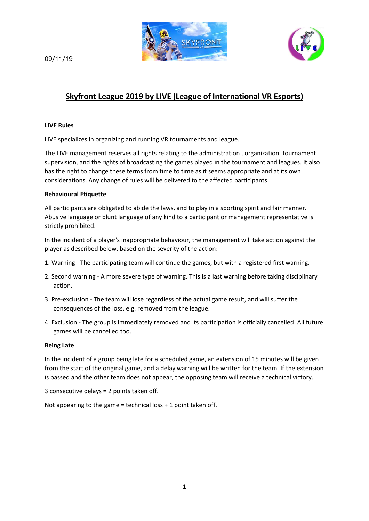



# 09/11/19

# **Skyfront League 2019 by LIVE (League of International VR Esports)**

### **LIVE Rules**

LIVE specializes in organizing and running VR tournaments and league.

The LIVE management reserves all rights relating to the administration , organization, tournament supervision, and the rights of broadcasting the games played in the tournament and leagues. It also has the right to change these terms from time to time as it seems appropriate and at its own considerations. Any change of rules will be delivered to the affected participants.

### **Behavioural Etiquette**

All participants are obligated to abide the laws, and to play in a sporting spirit and fair manner. Abusive language or blunt language of any kind to a participant or management representative is strictly prohibited.

In the incident of a player's inappropriate behaviour, the management will take action against the player as described below, based on the severity of the action:

- 1. Warning The participating team will continue the games, but with a registered first warning.
- 2. Second warning A more severe type of warning. This is a last warning before taking disciplinary action.
- 3. Pre-exclusion The team will lose regardless of the actual game result, and will suffer the consequences of the loss, e.g. removed from the league.
- 4. Exclusion The group is immediately removed and its participation is officially cancelled. All future games will be cancelled too.

## **Being Late**

In the incident of a group being late for a scheduled game, an extension of 15 minutes will be given from the start of the original game, and a delay warning will be written for the team. If the extension is passed and the other team does not appear, the opposing team will receive a technical victory.

3 consecutive delays = 2 points taken off.

Not appearing to the game = technical loss + 1 point taken off.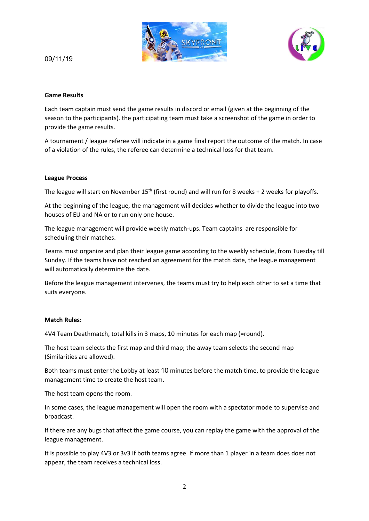



# 09/11/19

### **Game Results**

Each team captain must send the game results in discord or email (given at the beginning of the season to the participants). the participating team must take a screenshot of the game in order to provide the game results.

A tournament / league referee will indicate in a game final report the outcome of the match. In case of a violation of the rules, the referee can determine a technical loss for that team.

### **League Process**

The league will start on November  $15<sup>th</sup>$  (first round) and will run for 8 weeks + 2 weeks for playoffs.

At the beginning of the league, the management will decides whether to divide the league into two houses of EU and NA or to run only one house.

The league management will provide weekly match-ups. Team captains are responsible for scheduling their matches.

Teams must organize and plan their league game according to the weekly schedule, from Tuesday till Sunday. If the teams have not reached an agreement for the match date, the league management will automatically determine the date.

Before the league management intervenes, the teams must try to help each other to set a time that suits everyone.

#### **Match Rules:**

4V4 Team Deathmatch, total kills in 3 maps, 10 minutes for each map (=round).

The host team selects the first map and third map; the away team selects the second map (Similarities are allowed).

Both teams must enter the Lobby at least 10 minutes before the match time, to provide the league management time to create the host team.

The host team opens the room.

In some cases, the league management will open the room with a spectator mode to supervise and broadcast.

If there are any bugs that affect the game course, you can replay the game with the approval of the league management.

It is possible to play 4V3 or 3v3 If both teams agree. If more than 1 player in a team does does not appear, the team receives a technical loss.